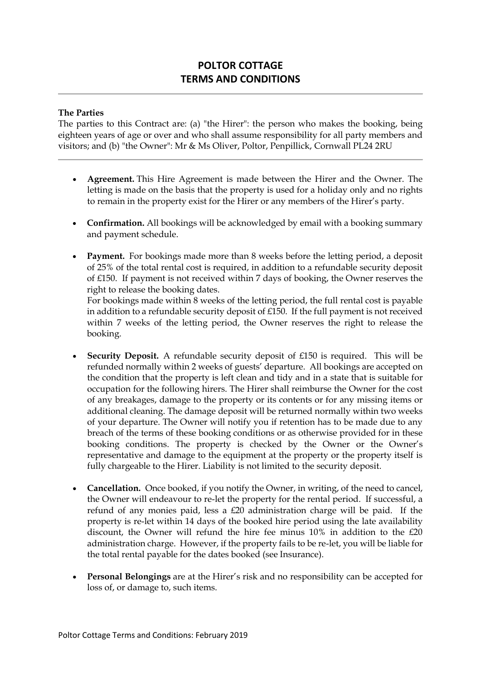## **POLTOR COTTAGE TERMS AND CONDITIONS**

## **The Parties**

The parties to this Contract are: (a) "the Hirer": the person who makes the booking, being eighteen years of age or over and who shall assume responsibility for all party members and visitors; and (b) "the Owner": Mr & Ms Oliver, Poltor, Penpillick, Cornwall PL24 2RU

- **Agreement.** This Hire Agreement is made between the Hirer and the Owner. The letting is made on the basis that the property is used for a holiday only and no rights to remain in the property exist for the Hirer or any members of the Hirer's party.
- **Confirmation.** All bookings will be acknowledged by email with a booking summary and payment schedule.
- **Payment.** For bookings made more than 8 weeks before the letting period, a deposit of 25% of the total rental cost is required, in addition to a refundable security deposit of £150. If payment is not received within 7 days of booking, the Owner reserves the right to release the booking dates.

For bookings made within 8 weeks of the letting period, the full rental cost is payable in addition to a refundable security deposit of £150. If the full payment is not received within 7 weeks of the letting period, the Owner reserves the right to release the booking.

- **Security Deposit.** A refundable security deposit of £150 is required. This will be refunded normally within 2 weeks of guests' departure. All bookings are accepted on the condition that the property is left clean and tidy and in a state that is suitable for occupation for the following hirers. The Hirer shall reimburse the Owner for the cost of any breakages, damage to the property or its contents or for any missing items or additional cleaning. The damage deposit will be returned normally within two weeks of your departure. The Owner will notify you if retention has to be made due to any breach of the terms of these booking conditions or as otherwise provided for in these booking conditions. The property is checked by the Owner or the Owner's representative and damage to the equipment at the property or the property itself is fully chargeable to the Hirer. Liability is not limited to the security deposit.
- **Cancellation.** Once booked, if you notify the Owner, in writing, of the need to cancel, the Owner will endeavour to re-let the property for the rental period. If successful, a refund of any monies paid, less a £20 administration charge will be paid. If the property is re-let within 14 days of the booked hire period using the late availability discount, the Owner will refund the hire fee minus 10% in addition to the £20 administration charge. However, if the property fails to be re-let, you will be liable for the total rental payable for the dates booked (see Insurance).
- **Personal Belongings** are at the Hirer's risk and no responsibility can be accepted for loss of, or damage to, such items.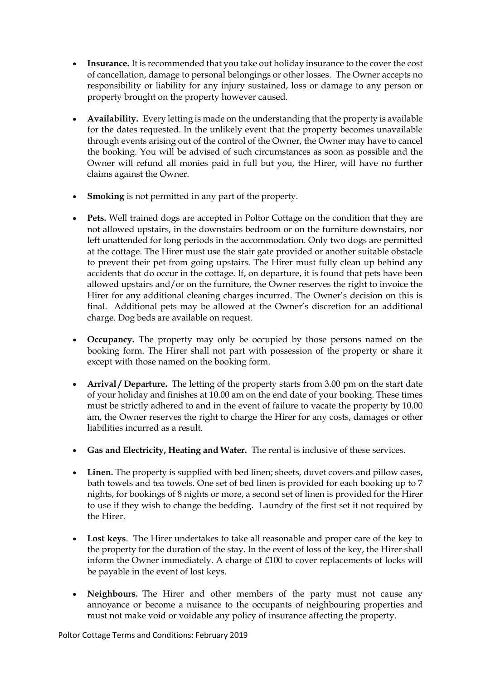- **Insurance.** It is recommended that you take out holiday insurance to the cover the cost of cancellation, damage to personal belongings or other losses. The Owner accepts no responsibility or liability for any injury sustained, loss or damage to any person or property brought on the property however caused.
- **Availability.** Every letting is made on the understanding that the property is available for the dates requested. In the unlikely event that the property becomes unavailable through events arising out of the control of the Owner, the Owner may have to cancel the booking. You will be advised of such circumstances as soon as possible and the Owner will refund all monies paid in full but you, the Hirer, will have no further claims against the Owner.
- **Smoking** is not permitted in any part of the property.
- Pets. Well trained dogs are accepted in Poltor Cottage on the condition that they are not allowed upstairs, in the downstairs bedroom or on the furniture downstairs, nor left unattended for long periods in the accommodation. Only two dogs are permitted at the cottage. The Hirer must use the stair gate provided or another suitable obstacle to prevent their pet from going upstairs. The Hirer must fully clean up behind any accidents that do occur in the cottage. If, on departure, it is found that pets have been allowed upstairs and/or on the furniture, the Owner reserves the right to invoice the Hirer for any additional cleaning charges incurred. The Owner's decision on this is final. Additional pets may be allowed at the Owner's discretion for an additional charge. Dog beds are available on request.
- **Occupancy.** The property may only be occupied by those persons named on the booking form. The Hirer shall not part with possession of the property or share it except with those named on the booking form.
- **Arrival / Departure.** The letting of the property starts from 3.00 pm on the start date of your holiday and finishes at 10.00 am on the end date of your booking. These times must be strictly adhered to and in the event of failure to vacate the property by 10.00 am, the Owner reserves the right to charge the Hirer for any costs, damages or other liabilities incurred as a result.
- **Gas and Electricity, Heating and Water.** The rental is inclusive of these services.
- **Linen.** The property is supplied with bed linen; sheets, duvet covers and pillow cases, bath towels and tea towels. One set of bed linen is provided for each booking up to 7 nights, for bookings of 8 nights or more, a second set of linen is provided for the Hirer to use if they wish to change the bedding. Laundry of the first set it not required by the Hirer.
- **Lost keys**. The Hirer undertakes to take all reasonable and proper care of the key to the property for the duration of the stay. In the event of loss of the key, the Hirer shall inform the Owner immediately. A charge of £100 to cover replacements of locks will be payable in the event of lost keys.
- **Neighbours.** The Hirer and other members of the party must not cause any annoyance or become a nuisance to the occupants of neighbouring properties and must not make void or voidable any policy of insurance affecting the property.